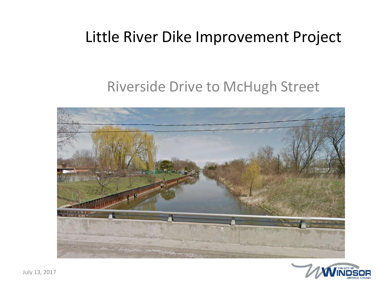#### Little River Dike Improvement Project

#### Riverside Drive to McHugh Street



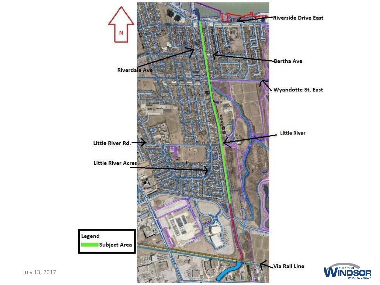

July 13, 2017

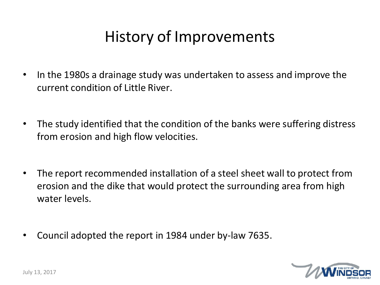## History of Improvements

- In the 1980s a drainage study was undertaken to assess and improve the current condition of Little River.
- The study identified that the condition of the banks were suffering distress from erosion and high flow velocities.
- The report recommended installation of a steel sheet wall to protect from erosion and the dike that would protect the surrounding area from high water levels.
- Council adopted the report in 1984 under by-law 7635.

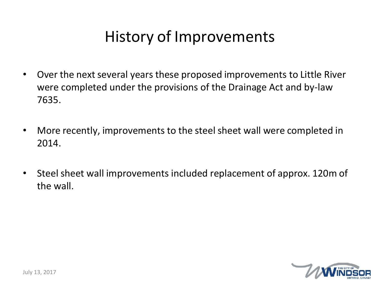## History of Improvements

- Over the next several years these proposed improvements to Little River were completed under the provisions of the Drainage Act and by-law 7635.
- More recently, improvements to the steel sheet wall were completed in 2014.
- Steel sheet wall improvements included replacement of approx. 120m of the wall.

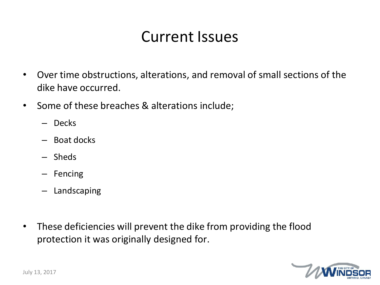### Current Issues

- Over time obstructions, alterations, and removal of small sections of the dike have occurred.
- Some of these breaches & alterations include;
	- Decks
	- Boat docks
	- Sheds
	- Fencing
	- Landscaping
- These deficiencies will prevent the dike from providing the flood protection it was originally designed for.

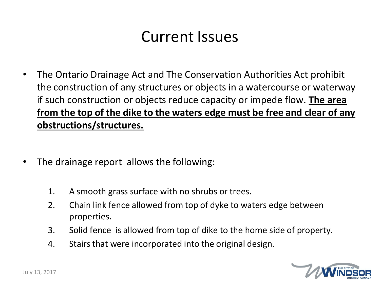### Current Issues

- The Ontario Drainage Act and The Conservation Authorities Act prohibit the construction of any structures or objects in a watercourse or waterway if such construction or objects reduce capacity or impede flow. **The area from the top of the dike to the waters edge must be free and clear of any obstructions/structures.**
- The drainage report allows the following:
	- 1. A smooth grass surface with no shrubs or trees.
	- 2. Chain link fence allowed from top of dyke to waters edge between properties.
	- 3. Solid fence is allowed from top of dike to the home side of property.
	- 4. Stairs that were incorporated into the original design.

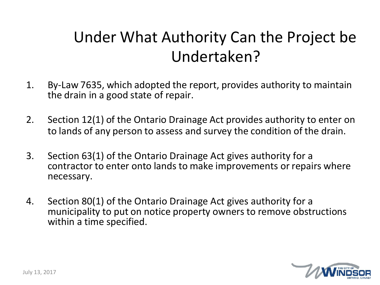## Under What Authority Can the Project be Undertaken?

- 1. By-Law 7635, which adopted the report, provides authority to maintain the drain in a good state of repair.
- 2. Section 12(1) of the Ontario Drainage Act provides authority to enter on to lands of any person to assess and survey the condition of the drain.
- 3. Section 63(1) of the Ontario Drainage Act gives authority for a contractor to enter onto lands to make improvements or repairs where necessary.
- 4. Section 80(1) of the Ontario Drainage Act gives authority for a municipality to put on notice property owners to remove obstructions within a time specified.

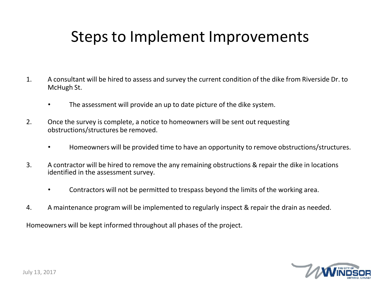### Steps to Implement Improvements

- 1. A consultant will be hired to assess and survey the current condition of the dike from Riverside Dr. to McHugh St.
	- The assessment will provide an up to date picture of the dike system.
- 2. Once the survey is complete, a notice to homeowners will be sent out requesting obstructions/structures be removed.
	- Homeowners will be provided time to have an opportunity to remove obstructions/structures.
- 3. A contractor will be hired to remove the any remaining obstructions & repair the dike in locations identified in the assessment survey.
	- Contractors will not be permitted to trespass beyond the limits of the working area.
- 4. A maintenance program will be implemented to regularly inspect & repair the drain as needed.

Homeowners will be kept informed throughout all phases of the project.

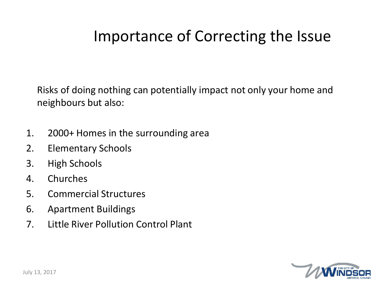## Importance of Correcting the Issue

Risks of doing nothing can potentially impact not only your home and neighbours but also:

- 1. 2000+ Homes in the surrounding area
- 2. Elementary Schools
- 3. High Schools
- 4. Churches
- 5. Commercial Structures
- 6. Apartment Buildings
- 7. Little River Pollution Control Plant